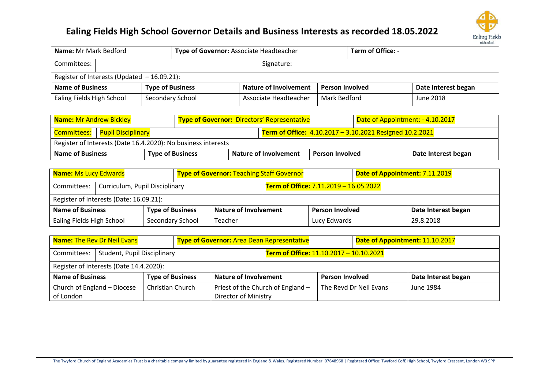

| <b>Name:</b> Mr Mark Bedford                  |                  | Type of Governor: Associate Headteacher         |                                       |  | <b>Term of Office: -</b> |           |
|-----------------------------------------------|------------------|-------------------------------------------------|---------------------------------------|--|--------------------------|-----------|
| Committees: I                                 |                  | Signature:                                      |                                       |  |                          |           |
| Register of Interests (Updated $-16.09.21$ ): |                  |                                                 |                                       |  |                          |           |
| <b>Name of Business</b>                       |                  | Nature of Involvement<br><b>Person Involved</b> |                                       |  | Date Interest began      |           |
| Ealing Fields High School                     | Secondary School |                                                 | Mark Bedford<br>Associate Headteacher |  |                          | June 2018 |

| <b>Name: Mr Andrew Bickley</b>   | <b>Type of Governor: Directors' Representative</b>            |                              |                                                          | Date of Appointment: - 4.10.2017 |  |                     |  |  |  |  |  |
|----------------------------------|---------------------------------------------------------------|------------------------------|----------------------------------------------------------|----------------------------------|--|---------------------|--|--|--|--|--|
| Committees:   Pupil Disciplinary |                                                               |                              | Term of Office: 4.10.2017 - 3.10.2021 Resigned 10.2.2021 |                                  |  |                     |  |  |  |  |  |
|                                  | Register of Interests (Date 16.4.2020): No business interests |                              |                                                          |                                  |  |                     |  |  |  |  |  |
| <b>Name of Business</b>          | <b>Type of Business</b>                                       | <b>Nature of Involvement</b> |                                                          | <b>Person Involved</b>           |  | Date Interest began |  |  |  |  |  |

| <b>Name: Ms Lucy Edwards</b>                       |                                         |                              |                        | <b>Type of Governor: Teaching Staff Governor</b> |                                        |                     | Date of Appointment: 7.11.2019 |  |  |  |
|----------------------------------------------------|-----------------------------------------|------------------------------|------------------------|--------------------------------------------------|----------------------------------------|---------------------|--------------------------------|--|--|--|
| Curriculum, Pupil Disciplinary<br>Committees:      |                                         |                              |                        |                                                  | Term of Office: 7.11.2019 - 16.05.2022 |                     |                                |  |  |  |
|                                                    | Register of Interests (Date: 16.09.21): |                              |                        |                                                  |                                        |                     |                                |  |  |  |
| <b>Type of Business</b><br><b>Name of Business</b> |                                         | <b>Nature of Involvement</b> | <b>Person Involved</b> |                                                  |                                        | Date Interest began |                                |  |  |  |
| Ealing Fields High School<br>Secondary School      |                                         | Teacher                      | Lucy Edwards           |                                                  |                                        | 29.8.2018           |                                |  |  |  |

| <b>Name: The Rev Dr Neil Evans</b><br><b>Type of Governor: Area Dean Representative</b> |                                         |                         |                              |                             |                                         |  | Date of Appointment: 11.10.2017 |  |  |           |
|-----------------------------------------------------------------------------------------|-----------------------------------------|-------------------------|------------------------------|-----------------------------|-----------------------------------------|--|---------------------------------|--|--|-----------|
| Student, Pupil Disciplinary<br>Committees:                                              |                                         |                         |                              |                             | Term of Office: 11.10.2017 - 10.10.2021 |  |                                 |  |  |           |
|                                                                                         | Register of Interests (Date 14.4.2020): |                         |                              |                             |                                         |  |                                 |  |  |           |
| <b>Type of Business</b><br><b>Name of Business</b>                                      |                                         |                         | <b>Nature of Involvement</b> |                             | <b>Person Involved</b>                  |  | Date Interest began             |  |  |           |
|                                                                                         | Church of England - Diocese             | <b>Christian Church</b> |                              |                             | Priest of the Church of England -       |  | The Revd Dr Neil Evans          |  |  | June 1984 |
| of London                                                                               |                                         |                         |                              | <b>Director of Ministry</b> |                                         |  |                                 |  |  |           |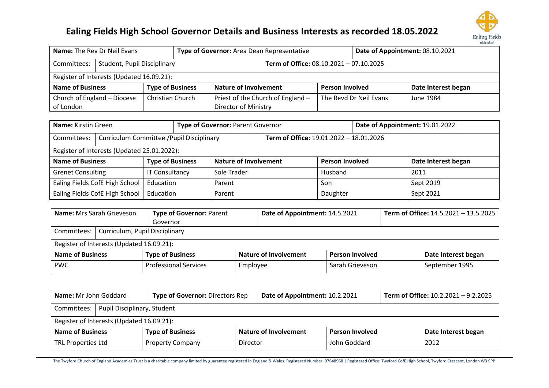

| Name: The Rev Dr Neil Evans<br>Type of Governor: Area Dean Representative |                                           |  |                              |                                         |                                   |                     | Date of Appointment: 08.10.2021 |           |  |  |  |
|---------------------------------------------------------------------------|-------------------------------------------|--|------------------------------|-----------------------------------------|-----------------------------------|---------------------|---------------------------------|-----------|--|--|--|
| <b>Student, Pupil Disciplinary</b><br>Committees:                         |                                           |  |                              | Term of Office: 08.10.2021 - 07.10.2025 |                                   |                     |                                 |           |  |  |  |
|                                                                           | Register of Interests (Updated 16.09.21): |  |                              |                                         |                                   |                     |                                 |           |  |  |  |
| <b>Type of Business</b><br><b>Name of Business</b>                        |                                           |  | <b>Nature of Involvement</b> |                                         | <b>Person Involved</b>            | Date Interest began |                                 |           |  |  |  |
|                                                                           | Church of England - Diocese               |  | <b>Christian Church</b>      |                                         | Priest of the Church of England - |                     | The Revd Dr Neil Evans          | June 1984 |  |  |  |
| Director of Ministry<br>of London                                         |                                           |  |                              |                                         |                                   |                     |                                 |           |  |  |  |

| <b>Name:</b> Kirstin Green                               |                                |                         |  | Type of Governor: Parent Governor       |                        |         | Date of Appointment: 19.01.2022 |                     |  |           |
|----------------------------------------------------------|--------------------------------|-------------------------|--|-----------------------------------------|------------------------|---------|---------------------------------|---------------------|--|-----------|
| Curriculum Committee / Pupil Disciplinary<br>Committees: |                                |                         |  | Term of Office: 19.01.2022 - 18.01.2026 |                        |         |                                 |                     |  |           |
| Register of Interests (Updated 25.01.2022):              |                                |                         |  |                                         |                        |         |                                 |                     |  |           |
| <b>Name of Business</b>                                  |                                | <b>Type of Business</b> |  | <b>Nature of Involvement</b>            | <b>Person Involved</b> |         |                                 | Date Interest began |  |           |
| <b>Grenet Consulting</b>                                 |                                | <b>IT Consultancy</b>   |  | Sole Trader                             |                        | Husband |                                 | 2011                |  |           |
|                                                          | Ealing Fields CofE High School | Education               |  | Parent                                  |                        |         |                                 | Son                 |  | Sept 2019 |
|                                                          | Ealing Fields CofE High School | Education               |  | Daughter<br>Parent                      |                        |         |                                 | Sept 2021           |  |           |

| <b>Name:</b> Mrs Sarah Grieveson |                                              | <b>Type of Governor: Parent</b> | Date of Appointment: 14.5.2021 |                        | Term of Office: 14.5.2021 - 13.5.2025 |                     |  |  |  |  |  |
|----------------------------------|----------------------------------------------|---------------------------------|--------------------------------|------------------------|---------------------------------------|---------------------|--|--|--|--|--|
| Governor                         |                                              |                                 |                                |                        |                                       |                     |  |  |  |  |  |
|                                  | Committees:   Curriculum, Pupil Disciplinary |                                 |                                |                        |                                       |                     |  |  |  |  |  |
|                                  | Register of Interests (Updated 16.09.21):    |                                 |                                |                        |                                       |                     |  |  |  |  |  |
| <b>Name of Business</b>          |                                              | <b>Type of Business</b>         | <b>Nature of Involvement</b>   | <b>Person Involved</b> |                                       | Date Interest began |  |  |  |  |  |
| <b>PWC</b>                       |                                              | <b>Professional Services</b>    | Employee                       | Sarah Grieveson        |                                       | September 1995      |  |  |  |  |  |

| <b>Name:</b> Mr John Goddard |                                           | <b>Type of Governor: Directors Rep</b> |          | Date of Appointment: 10.2.2021 |                        | Term of Office: $10.2.2021 - 9.2.2025$ |                     |  |  |  |
|------------------------------|-------------------------------------------|----------------------------------------|----------|--------------------------------|------------------------|----------------------------------------|---------------------|--|--|--|
|                              | Committees:   Pupil Disciplinary, Student |                                        |          |                                |                        |                                        |                     |  |  |  |
|                              | Register of Interests (Updated 16.09.21): |                                        |          |                                |                        |                                        |                     |  |  |  |
| <b>Name of Business</b>      |                                           | <b>Type of Business</b>                |          | Nature of Involvement          | <b>Person Involved</b> |                                        | Date Interest began |  |  |  |
| TRL Properties Ltd           |                                           | <b>Property Company</b>                | Director |                                | John Goddard           |                                        | 2012                |  |  |  |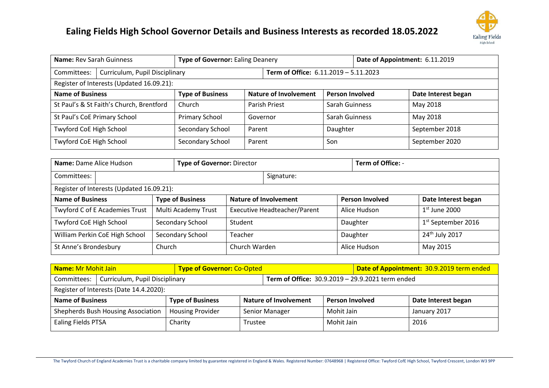

|                                          | Name: Rev Sarah Guinness<br><b>Type of Governor: Ealing Deanery</b>            |                         |               |                              |                        | Date of Appointment: 6.11.2019 |                     |  |  |  |  |  |
|------------------------------------------|--------------------------------------------------------------------------------|-------------------------|---------------|------------------------------|------------------------|--------------------------------|---------------------|--|--|--|--|--|
| Committees:                              | Curriculum, Pupil Disciplinary<br><b>Term of Office: 6.11.2019 - 5.11.2023</b> |                         |               |                              |                        |                                |                     |  |  |  |  |  |
|                                          | Register of Interests (Updated 16.09.21):                                      |                         |               |                              |                        |                                |                     |  |  |  |  |  |
| <b>Name of Business</b>                  |                                                                                | <b>Type of Business</b> |               | <b>Nature of Involvement</b> | <b>Person Involved</b> |                                | Date Interest began |  |  |  |  |  |
| St Paul's & St Faith's Church, Brentford |                                                                                | Church                  | Parish Priest |                              | <b>Sarah Guinness</b>  |                                | May 2018            |  |  |  |  |  |
| St Paul's CoE Primary School             |                                                                                | Primary School          | Governor      |                              | Sarah Guinness         |                                | May 2018            |  |  |  |  |  |
| Twyford CoE High School                  |                                                                                | Secondary School        | Parent        |                              | Daughter               |                                | September 2018      |  |  |  |  |  |
| Twyford CoE High School                  |                                                                                | Secondary School        | Parent        |                              | Son                    |                                | September 2020      |  |  |  |  |  |
|                                          |                                                                                |                         |               |                              |                        |                                |                     |  |  |  |  |  |

| Name: Dame Alice Hudson                   | <b>Type of Governor: Director</b> |               |                                     |          | Term of Office: -      |                                |  |
|-------------------------------------------|-----------------------------------|---------------|-------------------------------------|----------|------------------------|--------------------------------|--|
| Committees:                               |                                   |               | Signature:                          |          |                        |                                |  |
| Register of Interests (Updated 16.09.21): |                                   |               |                                     |          |                        |                                |  |
| <b>Name of Business</b>                   | <b>Type of Business</b>           |               | <b>Nature of Involvement</b>        |          | <b>Person Involved</b> | Date Interest began            |  |
| Twyford C of E Academies Trust            | Multi Academy Trust               |               | <b>Executive Headteacher/Parent</b> |          | Alice Hudson           | $1st$ June 2000                |  |
| Twyford CoE High School                   | Secondary School                  | Student       |                                     |          | Daughter               | 1 <sup>st</sup> September 2016 |  |
| William Perkin CoE High School            | Secondary School                  | Teacher       |                                     | Daughter |                        | $24th$ July 2017               |  |
| St Anne's Brondesbury                     | Church                            | Church Warden |                                     |          | Alice Hudson           | May 2015                       |  |

| <b>Name: Mr Mohit Jain</b><br><b>Type of Governor: Co-Opted</b>                                   |                                                               |                         |                       |  |                        | Date of Appointment: 30.9.2019 term ended |                     |  |  |  |
|---------------------------------------------------------------------------------------------------|---------------------------------------------------------------|-------------------------|-----------------------|--|------------------------|-------------------------------------------|---------------------|--|--|--|
| Term of Office: 30.9.2019 - 29.9.2021 term ended<br>Curriculum, Pupil Disciplinary<br>Committees: |                                                               |                         |                       |  |                        |                                           |                     |  |  |  |
| Register of Interests (Date 14.4.2020):                                                           |                                                               |                         |                       |  |                        |                                           |                     |  |  |  |
| <b>Name of Business</b>                                                                           |                                                               | <b>Type of Business</b> | Nature of Involvement |  | <b>Person Involved</b> |                                           | Date Interest began |  |  |  |
|                                                                                                   | Shepherds Bush Housing Association<br><b>Housing Provider</b> |                         | Senior Manager        |  | Mohit Jain             |                                           | January 2017        |  |  |  |
| Ealing Fields PTSA                                                                                |                                                               | Charity                 | Trustee               |  | Mohit Jain             |                                           | 2016                |  |  |  |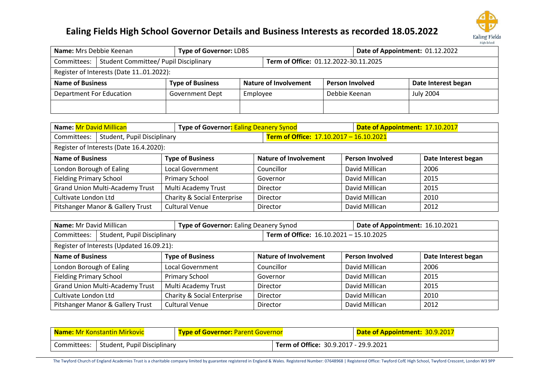

| <b>Name:</b> Mrs Debbie Keenan                            |                                              | <b>Type of Governor: LDBS</b> |                       |                                       | Date of Appointment: 01.12.2022 |           |                     |  |  |  |
|-----------------------------------------------------------|----------------------------------------------|-------------------------------|-----------------------|---------------------------------------|---------------------------------|-----------|---------------------|--|--|--|
| Committees:                                               | <b>Student Committee/ Pupil Disciplinary</b> |                               |                       | Term of Office: 01.12.2022-30.11.2025 |                                 |           |                     |  |  |  |
| Register of Interests (Date 1101.2022):                   |                                              |                               |                       |                                       |                                 |           |                     |  |  |  |
| <b>Name of Business</b>                                   |                                              | <b>Type of Business</b>       | Nature of Involvement |                                       | <b>Person Involved</b>          |           | Date Interest began |  |  |  |
| <b>Department For Education</b><br><b>Government Dept</b> |                                              | Employee                      |                       | Debbie Keenan                         |                                 | July 2004 |                     |  |  |  |
|                                                           |                                              |                               |                       |                                       |                                 |           |                     |  |  |  |

| <b>Name: Mr David Millican</b>             | Type of Governor: Ealing Deanery Synod |  |                                         | Date of Appointment: 17.10.2017 |                        |                     |
|--------------------------------------------|----------------------------------------|--|-----------------------------------------|---------------------------------|------------------------|---------------------|
| Student, Pupil Disciplinary<br>Committees: |                                        |  | Term of Office: 17.10.2017 - 16.10.2021 |                                 |                        |                     |
| Register of Interests (Date 16.4.2020):    |                                        |  |                                         |                                 |                        |                     |
| <b>Name of Business</b>                    | <b>Type of Business</b>                |  | <b>Nature of Involvement</b>            |                                 | <b>Person Involved</b> | Date Interest began |
| London Borough of Ealing                   | <b>Local Government</b>                |  | Councillor                              |                                 | David Millican         | 2006                |
| <b>Fielding Primary School</b>             | <b>Primary School</b>                  |  | Governor                                |                                 | David Millican         | 2015                |
| <b>Grand Union Multi-Academy Trust</b>     | Multi Academy Trust                    |  | Director                                |                                 | David Millican         | 2015                |
| Cultivate London Ltd                       | Charity & Social Enterprise            |  | Director                                |                                 | David Millican         | 2010                |
| Pitshanger Manor & Gallery Trust           | <b>Cultural Venue</b>                  |  | Director                                |                                 | David Millican         | 2012                |

| Name: Mr David Millican                    | Type of Governor: Ealing Deanery Synod |                                         | Date of Appointment: 16.10.2021 |                     |  |  |
|--------------------------------------------|----------------------------------------|-----------------------------------------|---------------------------------|---------------------|--|--|
| Student, Pupil Disciplinary<br>Committees: |                                        | Term of Office: 16.10.2021 - 15.10.2025 |                                 |                     |  |  |
| Register of Interests (Updated 16.09.21):  |                                        |                                         |                                 |                     |  |  |
| <b>Name of Business</b>                    | <b>Type of Business</b>                | <b>Nature of Involvement</b>            | <b>Person Involved</b>          | Date Interest began |  |  |
| London Borough of Ealing                   | Local Government                       | Councillor                              | David Millican                  | 2006                |  |  |
| <b>Fielding Primary School</b>             | <b>Primary School</b>                  | Governor                                | David Millican                  | 2015                |  |  |
| <b>Grand Union Multi-Academy Trust</b>     | Multi Academy Trust                    | Director                                | David Millican                  | 2015                |  |  |
| Cultivate London Ltd                       | Charity & Social Enterprise            | Director                                | David Millican                  | 2010                |  |  |
| Pitshanger Manor & Gallery Trust           | <b>Cultural Venue</b>                  | Director                                | David Millican                  | 2012                |  |  |

|                                            | <b>Name: Mr Konstantin Mirkovic</b><br><b>Type of Governor: Parent Governor</b> |  |                                       | Date of Appointment: 30.9.2017 |
|--------------------------------------------|---------------------------------------------------------------------------------|--|---------------------------------------|--------------------------------|
| Student, Pupil Disciplinary<br>Committees: |                                                                                 |  | Term of Office: 30.9.2017 - 29.9.2021 |                                |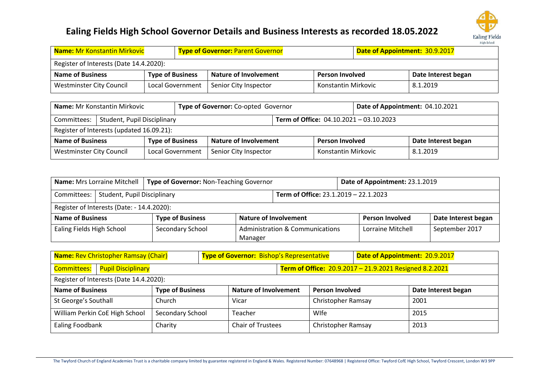

| <b>Name: Mr Konstantin Mirkovic</b>     |                         | <b>Type of Governor: Parent Governor</b> |                        |                     | Date of Appointment: 30.9.2017 |  |  |
|-----------------------------------------|-------------------------|------------------------------------------|------------------------|---------------------|--------------------------------|--|--|
| Register of Interests (Date 14.4.2020): |                         |                                          |                        |                     |                                |  |  |
| <b>Name of Business</b>                 | <b>Type of Business</b> | <b>Nature of Involvement</b>             | <b>Person Involved</b> |                     | Date Interest began            |  |  |
| <b>Westminster City Council</b>         | Local Government        | Senior City Inspector                    |                        | Konstantin Mirkovic | 8.1.2019                       |  |  |

| Type of Governor: Co-opted Governor<br>Name: Mr Konstantin Mirkovic |                                                                                    |                  | Date of Appointment: 04.10.2021                             |  |                        |  |                     |
|---------------------------------------------------------------------|------------------------------------------------------------------------------------|------------------|-------------------------------------------------------------|--|------------------------|--|---------------------|
| Student, Pupil Disciplinary<br>Committees:                          |                                                                                    |                  | <b>Term of Office: <math>04.10.2021 - 03.10.2023</math></b> |  |                        |  |                     |
| Register of Interests (updated 16.09.21):                           |                                                                                    |                  |                                                             |  |                        |  |                     |
|                                                                     | <b>Name of Business</b><br><b>Type of Business</b><br><b>Nature of Involvement</b> |                  |                                                             |  | <b>Person Involved</b> |  | Date Interest began |
| <b>Westminster City Council</b>                                     |                                                                                    | Local Government | Senior City Inspector                                       |  | Konstantin Mirkovic    |  | 8.1.2019            |

|                                            | Name: Mrs Lorraine Mitchell<br>Type of Governor: Non-Teaching Governor |                         |         |                                            | Date of Appointment: 23.1.2019 |                     |  |
|--------------------------------------------|------------------------------------------------------------------------|-------------------------|---------|--------------------------------------------|--------------------------------|---------------------|--|
|                                            | Committees:   Student, Pupil Disciplinary                              |                         |         | Term of Office: 23.1.2019 - 22.1.2023      |                                |                     |  |
| Register of Interests (Date: - 14.4.2020): |                                                                        |                         |         |                                            |                                |                     |  |
| <b>Name of Business</b>                    |                                                                        | <b>Type of Business</b> |         | <b>Nature of Involvement</b>               | <b>Person Involved</b>         | Date Interest began |  |
| Ealing Fields High School                  |                                                                        | Secondary School        |         | <b>Administration &amp; Communications</b> | Lorraine Mitchell              | September 2017      |  |
|                                            |                                                                        |                         | Manager |                                            |                                |                     |  |

| <b>Name: Rev Christopher Ramsay (Chair)</b><br><b>Type of Governor: Bishop's Representative</b> |                                |                                                         |                                                         | Date of Appointment: 20.9.2017 |  |                        |  |                     |
|-------------------------------------------------------------------------------------------------|--------------------------------|---------------------------------------------------------|---------------------------------------------------------|--------------------------------|--|------------------------|--|---------------------|
| <b>Pupil Disciplinary</b><br><b>Committees:</b>                                                 |                                |                                                         | Term of Office: 20.9.2017 - 21.9.2021 Resigned 8.2.2021 |                                |  |                        |  |                     |
| Register of Interests (Date 14.4.2020):                                                         |                                |                                                         |                                                         |                                |  |                        |  |                     |
| <b>Name of Business</b>                                                                         |                                | <b>Type of Business</b><br><b>Nature of Involvement</b> |                                                         |                                |  | <b>Person Involved</b> |  | Date Interest began |
| St George's Southall                                                                            |                                | Church                                                  |                                                         | Vicar                          |  | Christopher Ramsay     |  | 2001                |
|                                                                                                 | William Perkin CoE High School | Secondary School                                        |                                                         | Teacher                        |  | Wlfe                   |  | 2015                |
| <b>Ealing Foodbank</b>                                                                          |                                | Charity                                                 |                                                         | <b>Chair of Trustees</b>       |  | Christopher Ramsay     |  | 2013                |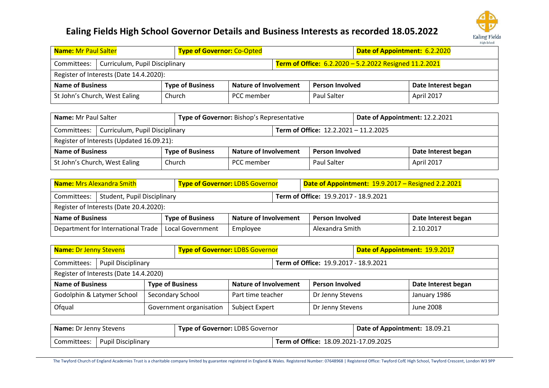

| <b>Name: Mr Paul Salter</b>                                                                             |                                         |                         | <b>Type of Governor: Co-Opted</b> |  |                        | Date of Appointment: 6.2.2020 |                     |
|---------------------------------------------------------------------------------------------------------|-----------------------------------------|-------------------------|-----------------------------------|--|------------------------|-------------------------------|---------------------|
| Term of Office: 6.2.2020 - 5.2.2022 Resigned 11.2.2021<br>Curriculum, Pupil Disciplinary<br>Committees: |                                         |                         |                                   |  |                        |                               |                     |
|                                                                                                         | Register of Interests (Date 14.4.2020): |                         |                                   |  |                        |                               |                     |
| <b>Name of Business</b>                                                                                 |                                         | <b>Type of Business</b> | <b>Nature of Involvement</b>      |  | <b>Person Involved</b> |                               | Date Interest began |
|                                                                                                         | St John's Church, West Ealing           | Church                  | PCC member                        |  | Paul Salter            |                               | <b>April 2017</b>   |

|                                                                                    | Name: Mr Paul Salter<br>Type of Governor: Bishop's Representative |        |            |                                       | Date of Appointment: 12.2.2021 |                     |            |
|------------------------------------------------------------------------------------|-------------------------------------------------------------------|--------|------------|---------------------------------------|--------------------------------|---------------------|------------|
| Committees:                                                                        | Curriculum, Pupil Disciplinary                                    |        |            | Term of Office: 12.2.2021 - 11.2.2025 |                                |                     |            |
| Register of Interests (Updated 16.09.21):                                          |                                                                   |        |            |                                       |                                |                     |            |
| <b>Type of Business</b><br><b>Nature of Involvement</b><br><b>Name of Business</b> |                                                                   |        |            | <b>Person Involved</b>                |                                | Date Interest began |            |
|                                                                                    | St John's Church, West Ealing                                     | Church | PCC member |                                       | Paul Salter                    |                     | April 2017 |

| <b>Name: Mrs Alexandra Smith</b><br><b>Type of Governor: LDBS Governor</b>         |                                         |                  |          | Date of Appointment: 19.9.2017 - Resigned 2.2.2021 |                 |                     |           |
|------------------------------------------------------------------------------------|-----------------------------------------|------------------|----------|----------------------------------------------------|-----------------|---------------------|-----------|
| Student, Pupil Disciplinary<br>Committees:                                         |                                         |                  |          | Term of Office: 19.9.2017 - 18.9.2021              |                 |                     |           |
|                                                                                    | Register of Interests (Date 20.4.2020): |                  |          |                                                    |                 |                     |           |
| <b>Type of Business</b><br><b>Nature of Involvement</b><br><b>Name of Business</b> |                                         |                  |          | <b>Person Involved</b>                             |                 | Date Interest began |           |
|                                                                                    | Department for International Trade      | Local Government | Employee |                                                    | Alexandra Smith |                     | 2.10.2017 |

| <b>Name: Dr Jenny Stevens</b><br><b>Type of Governor: LDBS Governor</b> |                         |                              |  |                                       | Date of Appointment: 19.9.2017 |                     |  |
|-------------------------------------------------------------------------|-------------------------|------------------------------|--|---------------------------------------|--------------------------------|---------------------|--|
| <b>Pupil Disciplinary</b><br>Committees:                                |                         |                              |  | Term of Office: 19.9.2017 - 18.9.2021 |                                |                     |  |
| Register of Interests (Date 14.4.2020)                                  |                         |                              |  |                                       |                                |                     |  |
| <b>Name of Business</b>                                                 | <b>Type of Business</b> | <b>Nature of Involvement</b> |  | <b>Person Involved</b>                |                                | Date Interest began |  |
| Godolphin & Latymer School                                              | Secondary School        | Part time teacher            |  | Dr Jenny Stevens                      |                                | January 1986        |  |
| Ofqual                                                                  | Government organisation | Subject Expert               |  | Dr Jenny Stevens                      |                                | June 2008           |  |

| <b>Type of Governor: LDBS Governor</b><br><b>Name:</b> Dr Jenny Stevens |                           |  | Date of Appointment: 18.09.21         |  |
|-------------------------------------------------------------------------|---------------------------|--|---------------------------------------|--|
| Committees:                                                             | <b>Pupil Disciplinary</b> |  | Term of Office: 18.09.2021-17.09.2025 |  |